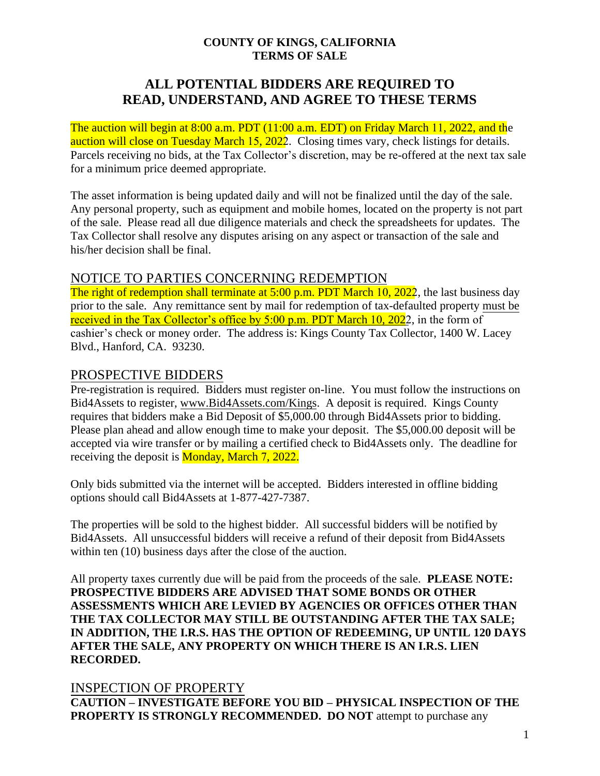#### **COUNTY OF KINGS, CALIFORNIA TERMS OF SALE**

# **ALL POTENTIAL BIDDERS ARE REQUIRED TO READ, UNDERSTAND, AND AGREE TO THESE TERMS**

The auction will begin at 8:00 a.m. PDT (11:00 a.m. EDT) on Friday March 11, 2022, and the auction will close on Tuesday March 15, 2022. Closing times vary, check listings for details. Parcels receiving no bids, at the Tax Collector's discretion, may be re-offered at the next tax sale for a minimum price deemed appropriate.

The asset information is being updated daily and will not be finalized until the day of the sale. Any personal property, such as equipment and mobile homes, located on the property is not part of the sale. Please read all due diligence materials and check the spreadsheets for updates. The Tax Collector shall resolve any disputes arising on any aspect or transaction of the sale and his/her decision shall be final.

### NOTICE TO PARTIES CONCERNING REDEMPTION

The right of redemption shall terminate at 5:00 p.m. PDT March 10, 2022, the last business day prior to the sale. Any remittance sent by mail for redemption of tax-defaulted property must be received in the Tax Collector's office by 5:00 p.m. PDT March 10, 2022, in the form of cashier's check or money order. The address is: Kings County Tax Collector, 1400 W. Lacey Blvd., Hanford, CA. 93230.

# PROSPECTIVE BIDDERS

Pre-registration is required. Bidders must register on-line. You must follow the instructions on Bid4Assets to register, [www.Bid4Assets.com/Kings.](http://www.bid4assets.com/Kings) A deposit is required. Kings County requires that bidders make a Bid Deposit of \$5,000.00 through Bid4Assets prior to bidding. Please plan ahead and allow enough time to make your deposit. The \$5,000.00 deposit will be accepted via wire transfer or by mailing a certified check to Bid4Assets only. The deadline for receiving the deposit is **Monday**, March 7, 2022.

Only bids submitted via the internet will be accepted. Bidders interested in offline bidding options should call Bid4Assets at 1-877-427-7387.

The properties will be sold to the highest bidder. All successful bidders will be notified by Bid4Assets. All unsuccessful bidders will receive a refund of their deposit from Bid4Assets within ten (10) business days after the close of the auction.

All property taxes currently due will be paid from the proceeds of the sale. **PLEASE NOTE: PROSPECTIVE BIDDERS ARE ADVISED THAT SOME BONDS OR OTHER ASSESSMENTS WHICH ARE LEVIED BY AGENCIES OR OFFICES OTHER THAN THE TAX COLLECTOR MAY STILL BE OUTSTANDING AFTER THE TAX SALE; IN ADDITION, THE I.R.S. HAS THE OPTION OF REDEEMING, UP UNTIL 120 DAYS AFTER THE SALE, ANY PROPERTY ON WHICH THERE IS AN I.R.S. LIEN RECORDED.** 

### INSPECTION OF PROPERTY

**CAUTION – INVESTIGATE BEFORE YOU BID – PHYSICAL INSPECTION OF THE PROPERTY IS STRONGLY RECOMMENDED. DO NOT** attempt to purchase any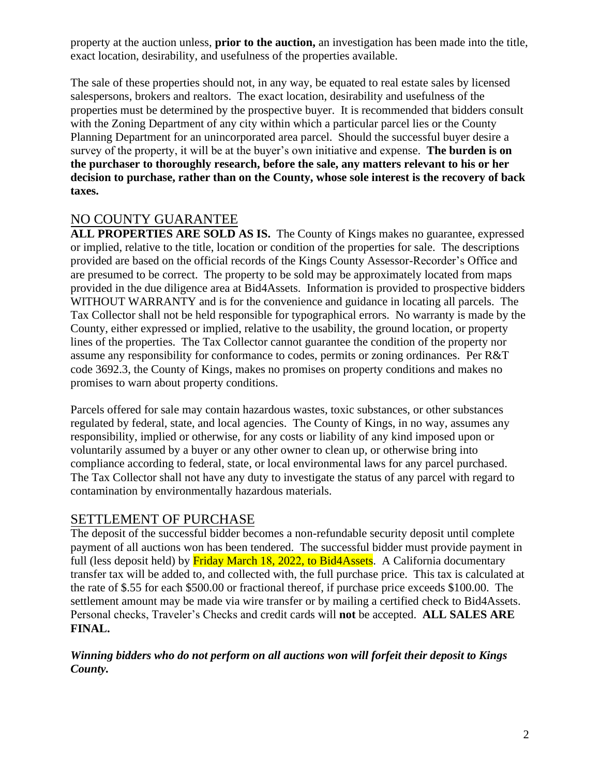property at the auction unless, **prior to the auction,** an investigation has been made into the title, exact location, desirability, and usefulness of the properties available.

The sale of these properties should not, in any way, be equated to real estate sales by licensed salespersons, brokers and realtors. The exact location, desirability and usefulness of the properties must be determined by the prospective buyer. It is recommended that bidders consult with the Zoning Department of any city within which a particular parcel lies or the County Planning Department for an unincorporated area parcel. Should the successful buyer desire a survey of the property, it will be at the buyer's own initiative and expense. **The burden is on the purchaser to thoroughly research, before the sale, any matters relevant to his or her decision to purchase, rather than on the County, whose sole interest is the recovery of back taxes.**

## NO COUNTY GUARANTEE

ALL PROPERTIES ARE SOLD AS IS. The County of Kings makes no guarantee, expressed or implied, relative to the title, location or condition of the properties for sale. The descriptions provided are based on the official records of the Kings County Assessor-Recorder's Office and are presumed to be correct. The property to be sold may be approximately located from maps provided in the due diligence area at Bid4Assets. Information is provided to prospective bidders WITHOUT WARRANTY and is for the convenience and guidance in locating all parcels. The Tax Collector shall not be held responsible for typographical errors. No warranty is made by the County, either expressed or implied, relative to the usability, the ground location, or property lines of the properties. The Tax Collector cannot guarantee the condition of the property nor assume any responsibility for conformance to codes, permits or zoning ordinances. Per R&T code 3692.3, the County of Kings, makes no promises on property conditions and makes no promises to warn about property conditions.

Parcels offered for sale may contain hazardous wastes, toxic substances, or other substances regulated by federal, state, and local agencies. The County of Kings, in no way, assumes any responsibility, implied or otherwise, for any costs or liability of any kind imposed upon or voluntarily assumed by a buyer or any other owner to clean up, or otherwise bring into compliance according to federal, state, or local environmental laws for any parcel purchased. The Tax Collector shall not have any duty to investigate the status of any parcel with regard to contamination by environmentally hazardous materials.

### SETTLEMENT OF PURCHASE

The deposit of the successful bidder becomes a non-refundable security deposit until complete payment of all auctions won has been tendered. The successful bidder must provide payment in full (less deposit held) by Friday March 18, 2022, to Bid4Assets. A California documentary transfer tax will be added to, and collected with, the full purchase price. This tax is calculated at the rate of \$.55 for each \$500.00 or fractional thereof, if purchase price exceeds \$100.00. The settlement amount may be made via wire transfer or by mailing a certified check to Bid4Assets. Personal checks, Traveler's Checks and credit cards will **not** be accepted. **ALL SALES ARE FINAL.**

### *Winning bidders who do not perform on all auctions won will forfeit their deposit to Kings County.*